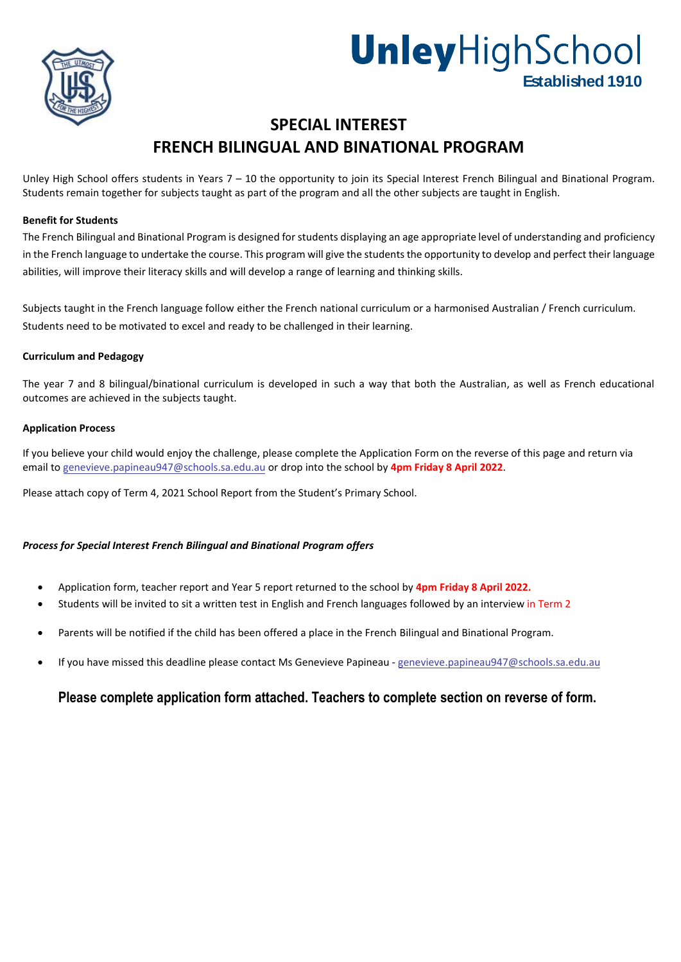

# **Unley**HighSchool

## **SPECIAL INTEREST FRENCH BILINGUAL AND BINATIONAL PROGRAM**

Unley High School offers students in Years 7 – 10 the opportunity to join its Special Interest French Bilingual and Binational Program. Students remain together for subjects taught as part of the program and all the other subjects are taught in English.

#### **Benefit for Students**

The French Bilingual and Binational Program is designed for students displaying an age appropriate level of understanding and proficiency in the French language to undertake the course. This program will give the students the opportunity to develop and perfect their language abilities, will improve their literacy skills and will develop a range of learning and thinking skills.

Subjects taught in the French language follow either the French national curriculum or a harmonised Australian / French curriculum. Students need to be motivated to excel and ready to be challenged in their learning.

#### **Curriculum and Pedagogy**

The year 7 and 8 bilingual/binational curriculum is developed in such a way that both the Australian, as well as French educational outcomes are achieved in the subjects taught.

#### **Application Process**

If you believe your child would enjoy the challenge, please complete the Application Form on the reverse of this page and return via email to genevieve.papineau947@schools.sa.edu.au or drop into the school by **4pm Friday 8 April 2022**.

Please attach copy of Term 4, 2021 School Report from the Student's Primary School.

#### *Process for Special Interest French Bilingual and Binational Program offers*

- Application form, teacher report and Year 5 report returned to the school by **4pm Friday 8 April 2022.**
- Students will be invited to sit a written test in English and French languages followed by an interview in Term 2
- Parents will be notified if the child has been offered a place in the French Bilingual and Binational Program.
- If you have missed this deadline please contact Ms Genevieve Papineau genevieve.papineau947@schools.sa.edu.au

#### **Please complete application form attached. Teachers to complete section on reverse of form.**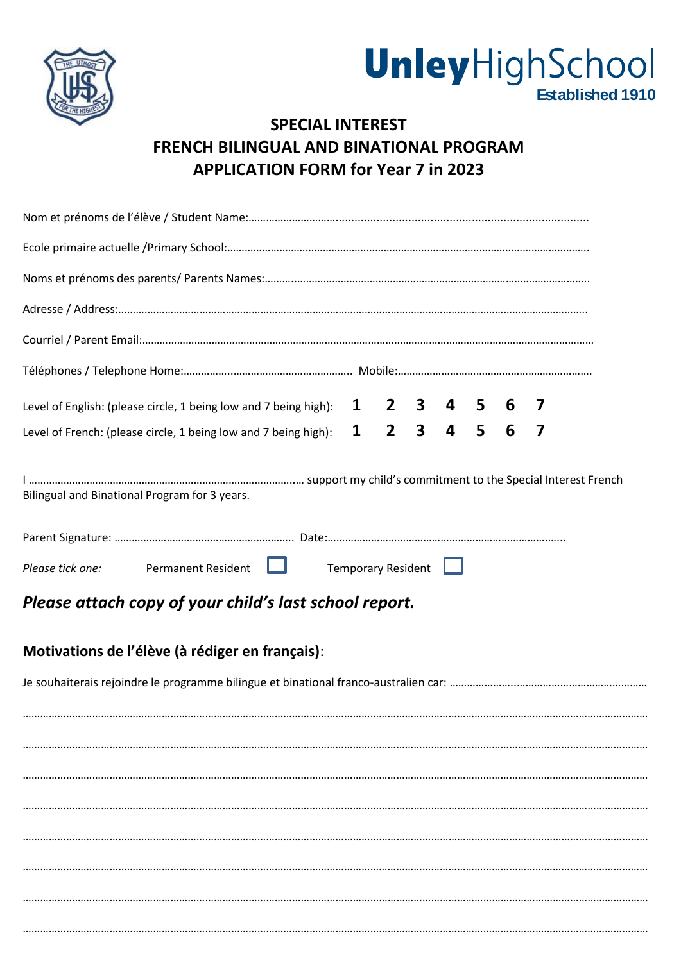



# **SPECIAL INTEREST FRENCH BILINGUAL AND BINATIONAL PROGRAM APPLICATION FORM for Year 7 in 2023**

| Level of English: (please circle, 1 being low and 7 being high): |  |  |                    | 1 2 3 4 5 6     |  |  |  |  | $\overline{\phantom{a}}$ |  |  |
|------------------------------------------------------------------|--|--|--------------------|-----------------|--|--|--|--|--------------------------|--|--|
| Level of French: (please circle, 1 being low and 7 being high):  |  |  |                    | $1$ 2 3 4 5 6 7 |  |  |  |  |                          |  |  |
| Bilingual and Binational Program for 3 years.                    |  |  |                    |                 |  |  |  |  |                          |  |  |
|                                                                  |  |  |                    |                 |  |  |  |  |                          |  |  |
| Please tick one: Permanent Resident                              |  |  | Temporary Resident |                 |  |  |  |  |                          |  |  |
| Please attach copy of your child's last school report.           |  |  |                    |                 |  |  |  |  |                          |  |  |
| Motivations de l'élève (à rédiger en français):                  |  |  |                    |                 |  |  |  |  |                          |  |  |
|                                                                  |  |  |                    |                 |  |  |  |  |                          |  |  |
|                                                                  |  |  |                    |                 |  |  |  |  |                          |  |  |
|                                                                  |  |  |                    |                 |  |  |  |  |                          |  |  |
|                                                                  |  |  |                    |                 |  |  |  |  |                          |  |  |
|                                                                  |  |  |                    |                 |  |  |  |  |                          |  |  |
|                                                                  |  |  |                    |                 |  |  |  |  |                          |  |  |
|                                                                  |  |  |                    |                 |  |  |  |  |                          |  |  |
|                                                                  |  |  |                    |                 |  |  |  |  |                          |  |  |
|                                                                  |  |  |                    |                 |  |  |  |  |                          |  |  |